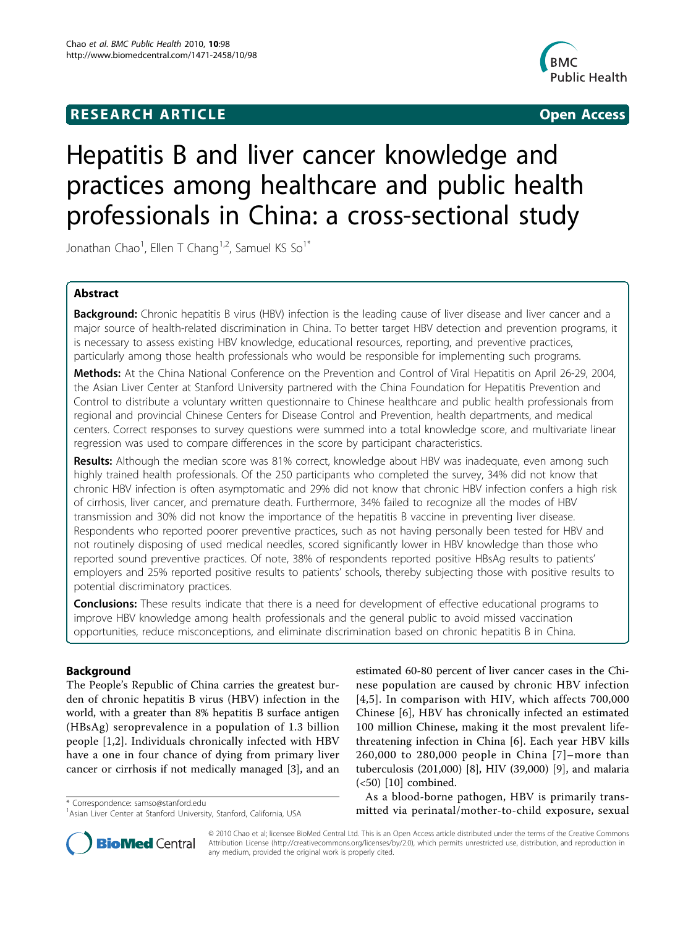# **RESEARCH ARTICLE Example 2018 12:00 Department of the Contract Open Access**



# Hepatitis B and liver cancer knowledge and practices among healthcare and public health professionals in China: a cross-sectional study

Jonathan Chao<sup>1</sup>, Ellen T Chang<sup>1,2</sup>, Samuel KS So<sup>1\*</sup>

# Abstract

**Background:** Chronic hepatitis B virus (HBV) infection is the leading cause of liver disease and liver cancer and a major source of health-related discrimination in China. To better target HBV detection and prevention programs, it is necessary to assess existing HBV knowledge, educational resources, reporting, and preventive practices, particularly among those health professionals who would be responsible for implementing such programs.

Methods: At the China National Conference on the Prevention and Control of Viral Hepatitis on April 26-29, 2004, the Asian Liver Center at Stanford University partnered with the China Foundation for Hepatitis Prevention and Control to distribute a voluntary written questionnaire to Chinese healthcare and public health professionals from regional and provincial Chinese Centers for Disease Control and Prevention, health departments, and medical centers. Correct responses to survey questions were summed into a total knowledge score, and multivariate linear regression was used to compare differences in the score by participant characteristics.

Results: Although the median score was 81% correct, knowledge about HBV was inadequate, even among such highly trained health professionals. Of the 250 participants who completed the survey, 34% did not know that chronic HBV infection is often asymptomatic and 29% did not know that chronic HBV infection confers a high risk of cirrhosis, liver cancer, and premature death. Furthermore, 34% failed to recognize all the modes of HBV transmission and 30% did not know the importance of the hepatitis B vaccine in preventing liver disease. Respondents who reported poorer preventive practices, such as not having personally been tested for HBV and not routinely disposing of used medical needles, scored significantly lower in HBV knowledge than those who reported sound preventive practices. Of note, 38% of respondents reported positive HBsAg results to patients' employers and 25% reported positive results to patients' schools, thereby subjecting those with positive results to potential discriminatory practices.

**Conclusions:** These results indicate that there is a need for development of effective educational programs to improve HBV knowledge among health professionals and the general public to avoid missed vaccination opportunities, reduce misconceptions, and eliminate discrimination based on chronic hepatitis B in China.

# Background

The People's Republic of China carries the greatest burden of chronic hepatitis B virus (HBV) infection in the world, with a greater than 8% hepatitis B surface antigen (HBsAg) seroprevalence in a population of 1.3 billion people [[1,2](#page-9-0)]. Individuals chronically infected with HBV have a one in four chance of dying from primary liver cancer or cirrhosis if not medically managed [[3\]](#page-9-0), and an

estimated 60-80 percent of liver cancer cases in the Chinese population are caused by chronic HBV infection [[4](#page-9-0),[5\]](#page-9-0). In comparison with HIV, which affects 700,000 Chinese [[6\]](#page-9-0), HBV has chronically infected an estimated 100 million Chinese, making it the most prevalent lifethreatening infection in China [[6\]](#page-9-0). Each year HBV kills 260,000 to 280,000 people in China [[7\]](#page-9-0)–more than tuberculosis (201,000) [\[8\]](#page-10-0), HIV (39,000) [\[9](#page-10-0)], and malaria (<50) [[10](#page-10-0)] combined.

As a blood-borne pathogen, HBV is primarily transorrespondence: [samso@stanford.edu](mailto:samso@stanford.edu)<br>
<sup>1</sup>Asian Liver Center at Stanford University Stanford California USA **and ittled via perinatal/mother-to-child exposure, sexual** 



© 2010 Chao et al; licensee BioMed Central Ltd. This is an Open Access article distributed under the terms of the Creative Commons Attribution License [\(http://creativecommons.org/licenses/by/2.0](http://creativecommons.org/licenses/by/2.0)), which permits unrestricted use, distribution, and reproduction in any medium, provided the original work is properly cited.

<sup>&</sup>lt;sup>1</sup> Asian Liver Center at Stanford University, Stanford, California, USA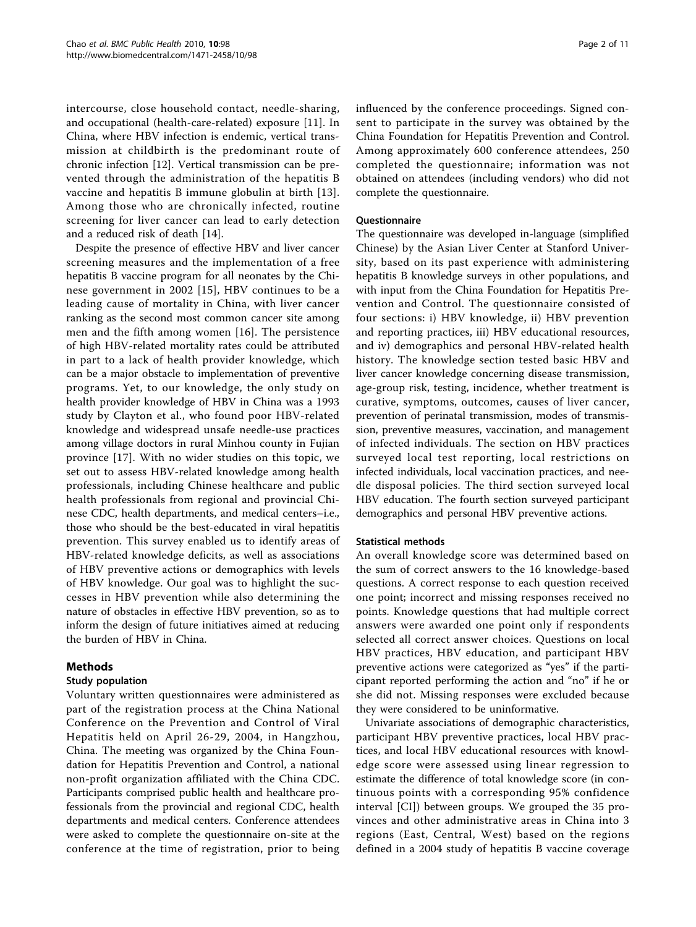intercourse, close household contact, needle-sharing, and occupational (health-care-related) exposure [\[11\]](#page-10-0). In China, where HBV infection is endemic, vertical transmission at childbirth is the predominant route of chronic infection [[12\]](#page-10-0). Vertical transmission can be prevented through the administration of the hepatitis B vaccine and hepatitis B immune globulin at birth [[13](#page-10-0)]. Among those who are chronically infected, routine screening for liver cancer can lead to early detection and a reduced risk of death [\[14](#page-10-0)].

Despite the presence of effective HBV and liver cancer screening measures and the implementation of a free hepatitis B vaccine program for all neonates by the Chinese government in 2002 [\[15](#page-10-0)], HBV continues to be a leading cause of mortality in China, with liver cancer ranking as the second most common cancer site among men and the fifth among women [[16\]](#page-10-0). The persistence of high HBV-related mortality rates could be attributed in part to a lack of health provider knowledge, which can be a major obstacle to implementation of preventive programs. Yet, to our knowledge, the only study on health provider knowledge of HBV in China was a 1993 study by Clayton et al., who found poor HBV-related knowledge and widespread unsafe needle-use practices among village doctors in rural Minhou county in Fujian province [[17](#page-10-0)]. With no wider studies on this topic, we set out to assess HBV-related knowledge among health professionals, including Chinese healthcare and public health professionals from regional and provincial Chinese CDC, health departments, and medical centers–i.e., those who should be the best-educated in viral hepatitis prevention. This survey enabled us to identify areas of HBV-related knowledge deficits, as well as associations of HBV preventive actions or demographics with levels of HBV knowledge. Our goal was to highlight the successes in HBV prevention while also determining the nature of obstacles in effective HBV prevention, so as to inform the design of future initiatives aimed at reducing the burden of HBV in China.

# Methods

# Study population

Voluntary written questionnaires were administered as part of the registration process at the China National Conference on the Prevention and Control of Viral Hepatitis held on April 26-29, 2004, in Hangzhou, China. The meeting was organized by the China Foundation for Hepatitis Prevention and Control, a national non-profit organization affiliated with the China CDC. Participants comprised public health and healthcare professionals from the provincial and regional CDC, health departments and medical centers. Conference attendees were asked to complete the questionnaire on-site at the conference at the time of registration, prior to being influenced by the conference proceedings. Signed consent to participate in the survey was obtained by the China Foundation for Hepatitis Prevention and Control. Among approximately 600 conference attendees, 250 completed the questionnaire; information was not obtained on attendees (including vendors) who did not complete the questionnaire.

# Questionnaire

The questionnaire was developed in-language (simplified Chinese) by the Asian Liver Center at Stanford University, based on its past experience with administering hepatitis B knowledge surveys in other populations, and with input from the China Foundation for Hepatitis Prevention and Control. The questionnaire consisted of four sections: i) HBV knowledge, ii) HBV prevention and reporting practices, iii) HBV educational resources, and iv) demographics and personal HBV-related health history. The knowledge section tested basic HBV and liver cancer knowledge concerning disease transmission, age-group risk, testing, incidence, whether treatment is curative, symptoms, outcomes, causes of liver cancer, prevention of perinatal transmission, modes of transmission, preventive measures, vaccination, and management of infected individuals. The section on HBV practices surveyed local test reporting, local restrictions on infected individuals, local vaccination practices, and needle disposal policies. The third section surveyed local HBV education. The fourth section surveyed participant demographics and personal HBV preventive actions.

# Statistical methods

An overall knowledge score was determined based on the sum of correct answers to the 16 knowledge-based questions. A correct response to each question received one point; incorrect and missing responses received no points. Knowledge questions that had multiple correct answers were awarded one point only if respondents selected all correct answer choices. Questions on local HBV practices, HBV education, and participant HBV preventive actions were categorized as "yes" if the participant reported performing the action and "no" if he or she did not. Missing responses were excluded because they were considered to be uninformative.

Univariate associations of demographic characteristics, participant HBV preventive practices, local HBV practices, and local HBV educational resources with knowledge score were assessed using linear regression to estimate the difference of total knowledge score (in continuous points with a corresponding 95% confidence interval [CI]) between groups. We grouped the 35 provinces and other administrative areas in China into 3 regions (East, Central, West) based on the regions defined in a 2004 study of hepatitis B vaccine coverage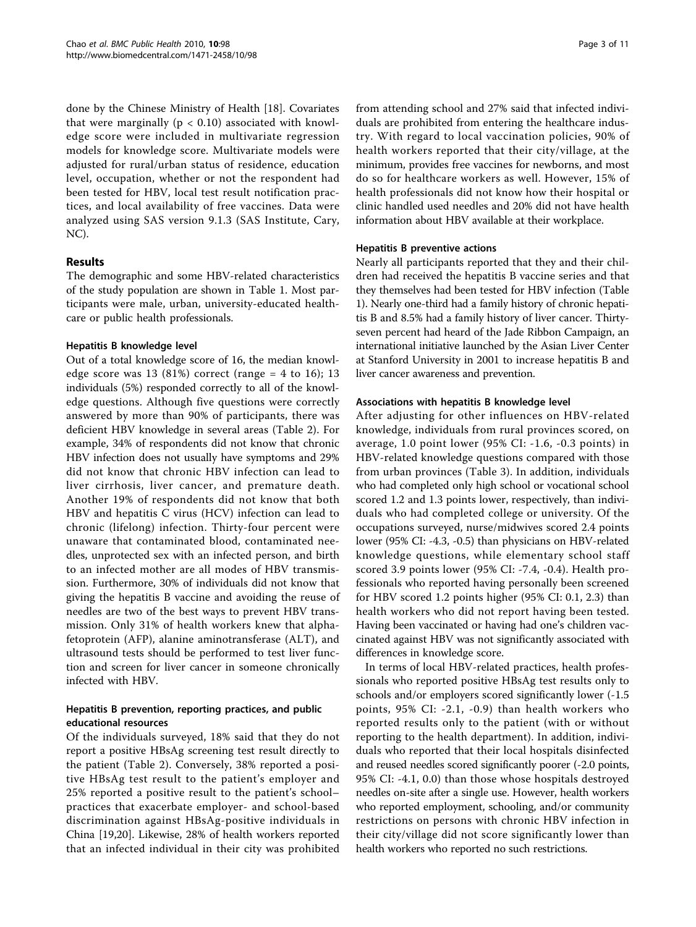done by the Chinese Ministry of Health [\[18\]](#page-10-0). Covariates that were marginally ( $p < 0.10$ ) associated with knowledge score were included in multivariate regression models for knowledge score. Multivariate models were adjusted for rural/urban status of residence, education level, occupation, whether or not the respondent had been tested for HBV, local test result notification practices, and local availability of free vaccines. Data were analyzed using SAS version 9.1.3 (SAS Institute, Cary, NC).

# Results

The demographic and some HBV-related characteristics of the study population are shown in Table [1.](#page-3-0) Most participants were male, urban, university-educated healthcare or public health professionals.

# Hepatitis B knowledge level

Out of a total knowledge score of 16, the median knowledge score was 13 (81%) correct (range = 4 to 16); 13 individuals (5%) responded correctly to all of the knowledge questions. Although five questions were correctly answered by more than 90% of participants, there was deficient HBV knowledge in several areas (Table [2\)](#page-4-0). For example, 34% of respondents did not know that chronic HBV infection does not usually have symptoms and 29% did not know that chronic HBV infection can lead to liver cirrhosis, liver cancer, and premature death. Another 19% of respondents did not know that both HBV and hepatitis C virus (HCV) infection can lead to chronic (lifelong) infection. Thirty-four percent were unaware that contaminated blood, contaminated needles, unprotected sex with an infected person, and birth to an infected mother are all modes of HBV transmission. Furthermore, 30% of individuals did not know that giving the hepatitis B vaccine and avoiding the reuse of needles are two of the best ways to prevent HBV transmission. Only 31% of health workers knew that alphafetoprotein (AFP), alanine aminotransferase (ALT), and ultrasound tests should be performed to test liver function and screen for liver cancer in someone chronically infected with HBV.

# Hepatitis B prevention, reporting practices, and public educational resources

Of the individuals surveyed, 18% said that they do not report a positive HBsAg screening test result directly to the patient (Table [2](#page-4-0)). Conversely, 38% reported a positive HBsAg test result to the patient's employer and 25% reported a positive result to the patient's school– practices that exacerbate employer- and school-based discrimination against HBsAg-positive individuals in China [[19,20\]](#page-10-0). Likewise, 28% of health workers reported that an infected individual in their city was prohibited from attending school and 27% said that infected individuals are prohibited from entering the healthcare industry. With regard to local vaccination policies, 90% of health workers reported that their city/village, at the minimum, provides free vaccines for newborns, and most do so for healthcare workers as well. However, 15% of health professionals did not know how their hospital or clinic handled used needles and 20% did not have health information about HBV available at their workplace.

# Hepatitis B preventive actions

Nearly all participants reported that they and their children had received the hepatitis B vaccine series and that they themselves had been tested for HBV infection (Table [1](#page-3-0)). Nearly one-third had a family history of chronic hepatitis B and 8.5% had a family history of liver cancer. Thirtyseven percent had heard of the Jade Ribbon Campaign, an international initiative launched by the Asian Liver Center at Stanford University in 2001 to increase hepatitis B and liver cancer awareness and prevention.

## Associations with hepatitis B knowledge level

After adjusting for other influences on HBV-related knowledge, individuals from rural provinces scored, on average, 1.0 point lower (95% CI: -1.6, -0.3 points) in HBV-related knowledge questions compared with those from urban provinces (Table [3](#page-5-0)). In addition, individuals who had completed only high school or vocational school scored 1.2 and 1.3 points lower, respectively, than individuals who had completed college or university. Of the occupations surveyed, nurse/midwives scored 2.4 points lower (95% CI: -4.3, -0.5) than physicians on HBV-related knowledge questions, while elementary school staff scored 3.9 points lower (95% CI: -7.4, -0.4). Health professionals who reported having personally been screened for HBV scored 1.2 points higher (95% CI: 0.1, 2.3) than health workers who did not report having been tested. Having been vaccinated or having had one's children vaccinated against HBV was not significantly associated with differences in knowledge score.

In terms of local HBV-related practices, health professionals who reported positive HBsAg test results only to schools and/or employers scored significantly lower (-1.5 points, 95% CI: -2.1, -0.9) than health workers who reported results only to the patient (with or without reporting to the health department). In addition, individuals who reported that their local hospitals disinfected and reused needles scored significantly poorer (-2.0 points, 95% CI: -4.1, 0.0) than those whose hospitals destroyed needles on-site after a single use. However, health workers who reported employment, schooling, and/or community restrictions on persons with chronic HBV infection in their city/village did not score significantly lower than health workers who reported no such restrictions.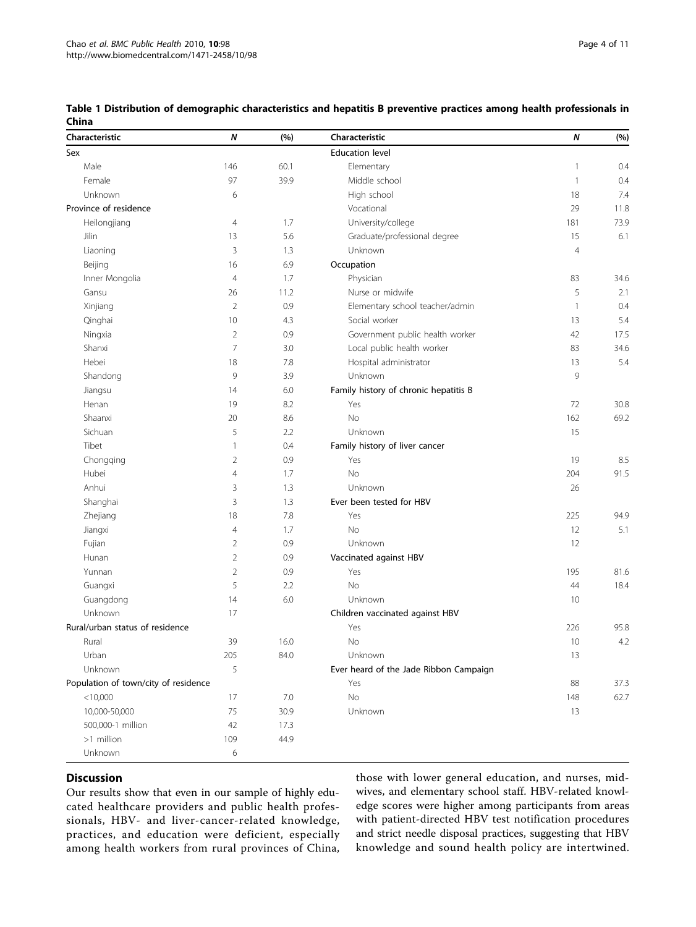| Characteristic                       | N              | (%)  | Characteristic                         | N              | (%)  |
|--------------------------------------|----------------|------|----------------------------------------|----------------|------|
| Sex                                  |                |      | <b>Education level</b>                 |                |      |
| Male                                 | 146            | 60.1 | Elementary                             | $\mathbf{1}$   | 0.4  |
| Female                               | 97             | 39.9 | Middle school                          | $\mathbf{1}$   | 0.4  |
| Unknown                              | 6              |      | High school                            | 18             | 7.4  |
| Province of residence                |                |      | Vocational                             | 29             | 11.8 |
| Heilongjiang                         | $\overline{4}$ | 1.7  | University/college                     | 181            | 73.9 |
| Jilin                                | 13             | 5.6  | Graduate/professional degree           | 15             | 6.1  |
| Liaoning                             | 3              | 1.3  | Unknown                                | $\overline{4}$ |      |
| Beijing                              | 16             | 6.9  | Occupation                             |                |      |
| Inner Mongolia                       | $\overline{4}$ | 1.7  | Physician                              | 83             | 34.6 |
| Gansu                                | 26             | 11.2 | Nurse or midwife                       | 5              | 2.1  |
| Xinjiang                             | $\overline{2}$ | 0.9  | Elementary school teacher/admin        | $\mathbf{1}$   | 0.4  |
| Qinghai                              | 10             | 4.3  | Social worker                          | 13             | 5.4  |
| Ningxia                              | $\overline{2}$ | 0.9  | Government public health worker        | 42             | 17.5 |
| Shanxi                               | 7              | 3.0  | Local public health worker             | 83             | 34.6 |
| Hebei                                | 18             | 7.8  | Hospital administrator                 | 13             | 5.4  |
| Shandong                             | 9              | 3.9  | Unknown                                | 9              |      |
| Jiangsu                              | 14             | 6.0  | Family history of chronic hepatitis B  |                |      |
| Henan                                | 19             | 8.2  | Yes                                    | 72             | 30.8 |
| Shaanxi                              | 20             | 8.6  | <b>No</b>                              | 162            | 69.2 |
| Sichuan                              | 5              | 2.2  | Unknown                                | 15             |      |
| Tibet                                | 1              | 0.4  | Family history of liver cancer         |                |      |
| Chongqing                            | 2              | 0.9  | Yes                                    | 19             | 8.5  |
| Hubei                                | 4              | 1.7  | <b>No</b>                              | 204            | 91.5 |
| Anhui                                | 3              | 1.3  | Unknown                                | 26             |      |
| Shanghai                             | 3              | 1.3  | Ever been tested for HBV               |                |      |
| Zhejiang                             | 18             | 7.8  | Yes                                    | 225            | 94.9 |
| Jiangxi                              | $\overline{4}$ | 1.7  | No                                     | 12             | 5.1  |
| Fujian                               | $\overline{2}$ | 0.9  | Unknown                                | 12             |      |
| Hunan                                | 2              | 0.9  | Vaccinated against HBV                 |                |      |
| Yunnan                               | $\overline{2}$ | 0.9  | Yes                                    | 195            | 81.6 |
| Guangxi                              | 5              | 2.2  | No                                     | 44             | 18.4 |
| Guangdong                            | 14             | 6.0  | Unknown                                | 10             |      |
| Unknown                              | 17             |      | Children vaccinated against HBV        |                |      |
| Rural/urban status of residence      |                |      | Yes                                    | 226            | 95.8 |
| Rural                                | 39             | 16.0 | No                                     | 10             | 4.2  |
| Urban                                | 205            | 84.0 | Unknown                                | 13             |      |
| Unknown                              | 5              |      | Ever heard of the Jade Ribbon Campaign |                |      |
| Population of town/city of residence |                |      | Yes                                    | 88             | 37.3 |
| $<$ 10,000                           | 17             | 7.0  | No                                     | 148            | 62.7 |
| 10,000-50,000                        | 75             | 30.9 | Unknown                                | 13             |      |
| 500,000-1 million                    | 42             | 17.3 |                                        |                |      |
| >1 million                           | 109            | 44.9 |                                        |                |      |
| Unknown                              | 6              |      |                                        |                |      |

# <span id="page-3-0"></span>Table 1 Distribution of demographic characteristics and hepatitis B preventive practices among health professionals in China

# **Discussion**

Our results show that even in our sample of highly educated healthcare providers and public health professionals, HBV- and liver-cancer-related knowledge, practices, and education were deficient, especially among health workers from rural provinces of China, those with lower general education, and nurses, midwives, and elementary school staff. HBV-related knowledge scores were higher among participants from areas with patient-directed HBV test notification procedures and strict needle disposal practices, suggesting that HBV knowledge and sound health policy are intertwined.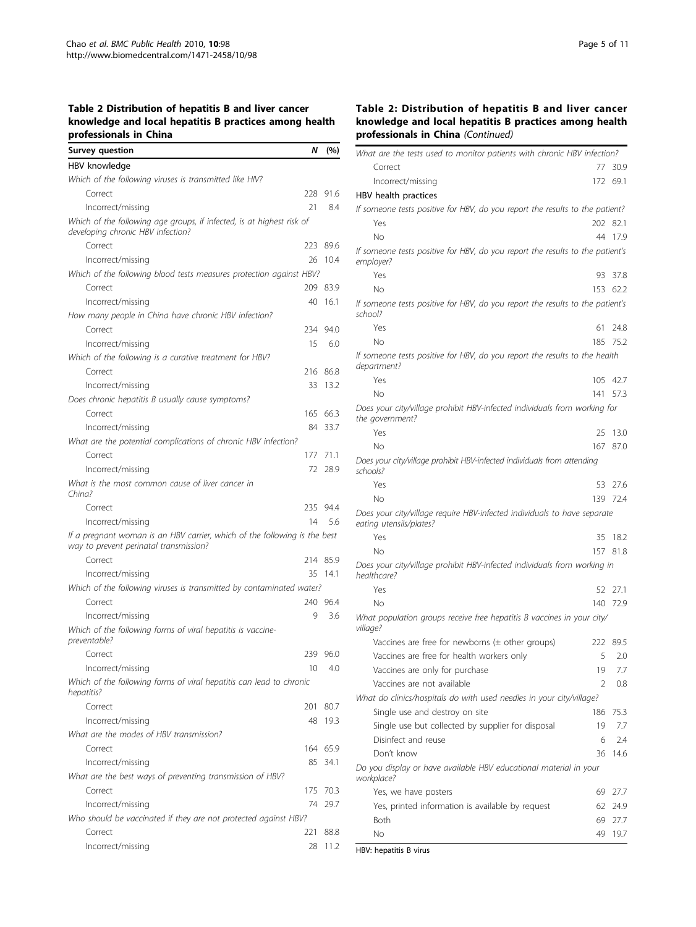# <span id="page-4-0"></span>Table 2 Distribution of hepatitis B and liver cancer knowledge and local hepatitis B practices among health professionals in China

| Survey question                                                                                                     | Ν   | (%)  |
|---------------------------------------------------------------------------------------------------------------------|-----|------|
| HBV knowledge                                                                                                       |     |      |
| Which of the following viruses is transmitted like HIV?                                                             |     |      |
| Correct                                                                                                             | 228 | 91.6 |
| Incorrect/missing                                                                                                   | 21  | 8.4  |
| Which of the following age groups, if infected, is at highest risk of<br>developing chronic HBV infection?          |     |      |
| Correct                                                                                                             | 223 | 89.6 |
| Incorrect/missing                                                                                                   | 26  | 10.4 |
| Which of the following blood tests measures protection against HBV?                                                 |     |      |
| Correct                                                                                                             | 209 | 83.9 |
| Incorrect/missing                                                                                                   | 40  | 16.1 |
| How many people in China have chronic HBV infection?                                                                |     |      |
| Correct                                                                                                             | 234 | 94.0 |
| Incorrect/missing                                                                                                   | 15  | 6.0  |
| Which of the following is a curative treatment for HBV?                                                             |     |      |
| Correct                                                                                                             | 216 | 86.8 |
| Incorrect/missing                                                                                                   | 33  | 13.2 |
| Does chronic hepatitis B usually cause symptoms?                                                                    |     |      |
| Correct                                                                                                             | 165 | 66.3 |
| Incorrect/missing                                                                                                   | 84  | 33.7 |
| What are the potential complications of chronic HBV infection?                                                      |     |      |
| Correct                                                                                                             | 177 | 71.1 |
| Incorrect/missing                                                                                                   | 72  | 28.9 |
| What is the most common cause of liver cancer in<br>China?                                                          |     |      |
| Correct                                                                                                             | 235 | 94.4 |
| Incorrect/missing                                                                                                   | 14  | 5.6  |
| If a pregnant woman is an HBV carrier, which of the following is the best<br>way to prevent perinatal transmission? |     |      |
| Correct                                                                                                             | 214 | 85.9 |
| Incorrect/missing                                                                                                   | 35  | 14.1 |
| Which of the following viruses is transmitted by contaminated water?                                                |     |      |
| Correct                                                                                                             | 240 | 96.4 |
| Incorrect/missing                                                                                                   | 9   | 3.6  |
| Which of the following forms of viral hepatitis is vaccine-<br>preventable?                                         |     |      |
| Correct                                                                                                             | 239 | 96.0 |
| Incorrect/missing                                                                                                   | 10  | 4.0  |
| Which of the following forms of viral hepatitis can lead to chronic<br>hepatitis?                                   |     |      |
| Correct                                                                                                             | 201 | 80.7 |
| Incorrect/missing                                                                                                   | 48  | 19.3 |
| What are the modes of HBV transmission?                                                                             |     |      |
| Correct                                                                                                             | 164 | 65.9 |
| Incorrect/missing                                                                                                   | 85  | 34.1 |
| What are the best ways of preventing transmission of HBV?                                                           |     |      |
| Correct                                                                                                             | 175 | 70.3 |
| Incorrect/missing                                                                                                   | 74  | 29.7 |
| Who should be vaccinated if they are not protected against HBV?                                                     |     |      |
| Correct                                                                                                             | 221 | 88.8 |
| Incorrect/missing                                                                                                   | 28  | 11.2 |

# Table 2: Distribution of hepatitis B and liver cancer knowledge and local hepatitis B practices among health professionals in China (Continued)

| What are the tests used to monitor patients with chronic HBV infection?                             |          |  |  |  |
|-----------------------------------------------------------------------------------------------------|----------|--|--|--|
| Correct<br>77                                                                                       | 30.9     |  |  |  |
| Incorrect/missing                                                                                   | 172 69.1 |  |  |  |
| HBV health practices                                                                                |          |  |  |  |
| If someone tests positive for HBV, do you report the results to the patient?                        |          |  |  |  |
| Yes<br>202                                                                                          | 82.1     |  |  |  |
| No<br>44                                                                                            | 17.9     |  |  |  |
| If someone tests positive for HBV, do you report the results to the patient's<br>employer?          |          |  |  |  |
| Yes<br>93                                                                                           | 37.8     |  |  |  |
| No<br>153                                                                                           | 62.2     |  |  |  |
| If someone tests positive for HBV, do you report the results to the patient's<br>school?            |          |  |  |  |
| Yes<br>61                                                                                           | 24.8     |  |  |  |
| Nο<br>185                                                                                           | 75.2     |  |  |  |
| If someone tests positive for HBV, do you report the results to the health<br>department?           |          |  |  |  |
| Yes<br>105                                                                                          | 42.7     |  |  |  |
| No<br>141                                                                                           | 57.3     |  |  |  |
| Does your city/village prohibit HBV-infected individuals from working for<br>the government?        |          |  |  |  |
| 25<br>Yes                                                                                           | 13.0     |  |  |  |
| 167<br>Nο                                                                                           | 87.0     |  |  |  |
| Does your city/village prohibit HBV-infected individuals from attending<br>schools?                 |          |  |  |  |
| Yes<br>53                                                                                           | 27.6     |  |  |  |
| Νo                                                                                                  | 139 72.4 |  |  |  |
| Does your city/village require HBV-infected individuals to have separate<br>eating utensils/plates? |          |  |  |  |
| Yes<br>35                                                                                           | 18.2     |  |  |  |
| No                                                                                                  | 157 81.8 |  |  |  |
| Does your city/village prohibit HBV-infected individuals from working in<br>healthcare?             |          |  |  |  |
| Yes<br>52                                                                                           | 27.1     |  |  |  |
| 140<br>Νo                                                                                           | 72.9     |  |  |  |
| What population groups receive free hepatitis B vaccines in your city/<br>village?                  |          |  |  |  |
| Vaccines are free for newborns $(\pm$ other groups)<br>222                                          | 89.5     |  |  |  |
| Vaccines are free for health workers only<br>5                                                      | 2.0      |  |  |  |
| Vaccines are only for purchase<br>19                                                                | 7.7      |  |  |  |
| Vaccines are not available<br>2                                                                     | 0.8      |  |  |  |
| What do clinics/hospitals do with used needles in your city/village?                                |          |  |  |  |
| Single use and destroy on site<br>186                                                               | 75.3     |  |  |  |
| Single use but collected by supplier for disposal<br>19                                             | 7.7      |  |  |  |
| Disinfect and reuse<br>6                                                                            | 2.4      |  |  |  |
| Don't know<br>36                                                                                    | 14.6     |  |  |  |
| Do you display or have available HBV educational material in your<br>workplace?                     |          |  |  |  |
| Yes, we have posters<br>69                                                                          | 27.7     |  |  |  |
| Yes, printed information is available by request<br>62                                              | 24.9     |  |  |  |
| Both<br>69                                                                                          | 27.7     |  |  |  |
| No<br>49                                                                                            | 19.7     |  |  |  |

HBV: hepatitis B virus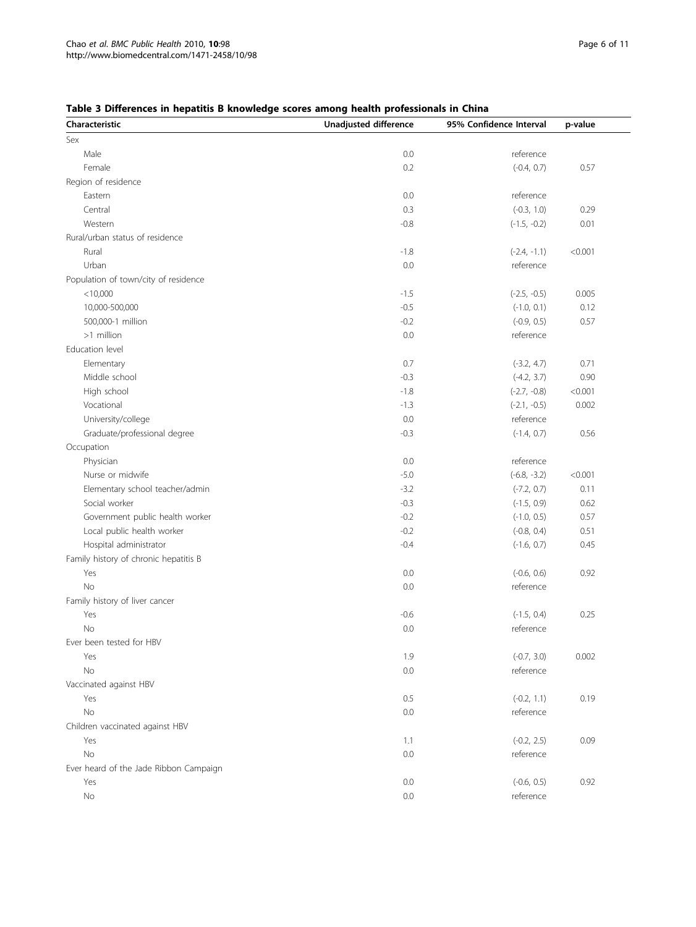# <span id="page-5-0"></span>Table 3 Differences in hepatitis B knowledge scores among health professionals in China

| Characteristic                         | c scores annong nearm professionals in ening<br>Unadjusted difference | 95% Confidence Interval        | p-value |
|----------------------------------------|-----------------------------------------------------------------------|--------------------------------|---------|
| Sex                                    |                                                                       |                                |         |
| Male                                   | 0.0                                                                   | reference                      |         |
| Female                                 | 0.2                                                                   | $(-0.4, 0.7)$                  | 0.57    |
| Region of residence                    |                                                                       |                                |         |
| Eastern                                | 0.0                                                                   | reference                      |         |
| Central                                | 0.3                                                                   | $(-0.3, 1.0)$                  | 0.29    |
| Western                                | $-0.8$                                                                | $(-1.5, -0.2)$                 | 0.01    |
| Rural/urban status of residence        |                                                                       |                                |         |
| Rural                                  | $-1.8$                                                                | $(-2.4, -1.1)$                 | < 0.001 |
| Urban                                  | 0.0                                                                   | reference                      |         |
| Population of town/city of residence   |                                                                       |                                |         |
| $<$ 10,000                             | $-1.5$                                                                | $(-2.5, -0.5)$                 | 0.005   |
| 10,000-500,000                         | $-0.5$                                                                | $(-1.0, 0.1)$                  | 0.12    |
| 500,000-1 million                      | $-0.2$                                                                | $(-0.9, 0.5)$                  | 0.57    |
| >1 million                             | 0.0                                                                   | reference                      |         |
| Education level                        |                                                                       |                                |         |
|                                        | 0.7                                                                   |                                | 0.71    |
| Elementary<br>Middle school            | $-0.3$                                                                | $(-3.2, 4.7)$<br>$(-4.2, 3.7)$ | 0.90    |
| High school                            | $-1.8$                                                                |                                |         |
| Vocational                             |                                                                       | $(-2.7, -0.8)$                 | < 0.001 |
|                                        | $-1.3$                                                                | $(-2.1, -0.5)$                 | 0.002   |
| University/college                     | 0.0                                                                   | reference                      |         |
| Graduate/professional degree           | $-0.3$                                                                | $(-1.4, 0.7)$                  | 0.56    |
| Occupation                             |                                                                       |                                |         |
| Physician                              | $0.0\,$                                                               | reference                      |         |
| Nurse or midwife                       | $-5.0$                                                                | $(-6.8, -3.2)$                 | < 0.001 |
| Elementary school teacher/admin        | $-3.2$                                                                | $(-7.2, 0.7)$                  | 0.11    |
| Social worker                          | $-0.3$                                                                | $(-1.5, 0.9)$                  | 0.62    |
| Government public health worker        | $-0.2$                                                                | $(-1.0, 0.5)$                  | 0.57    |
| Local public health worker             | $-0.2$                                                                | $(-0.8, 0.4)$                  | 0.51    |
| Hospital administrator                 | $-0.4$                                                                | $(-1.6, 0.7)$                  | 0.45    |
| Family history of chronic hepatitis B  |                                                                       |                                |         |
| Yes                                    | 0.0                                                                   | $(-0.6, 0.6)$                  | 0.92    |
| No                                     | 0.0                                                                   | reference                      |         |
| Family history of liver cancer         |                                                                       |                                |         |
| Yes                                    | $-0.6$                                                                | $(-1.5, 0.4)$                  | 0.25    |
| No                                     | 0.0                                                                   | reference                      |         |
| Ever been tested for HBV               |                                                                       |                                |         |
| Yes                                    | 1.9                                                                   | $(-0.7, 3.0)$                  | 0.002   |
| No                                     | 0.0                                                                   | reference                      |         |
| Vaccinated against HBV                 |                                                                       |                                |         |
| Yes                                    | 0.5                                                                   | $(-0.2, 1.1)$                  | 0.19    |
| No                                     | 0.0                                                                   | reference                      |         |
| Children vaccinated against HBV        |                                                                       |                                |         |
| Yes                                    | 1.1                                                                   | $(-0.2, 2.5)$                  | 0.09    |
| No                                     | 0.0                                                                   | reference                      |         |
| Ever heard of the Jade Ribbon Campaign |                                                                       |                                |         |
| Yes                                    | 0.0                                                                   | $(-0.6, 0.5)$                  | 0.92    |
| No                                     | 0.0                                                                   | reference                      |         |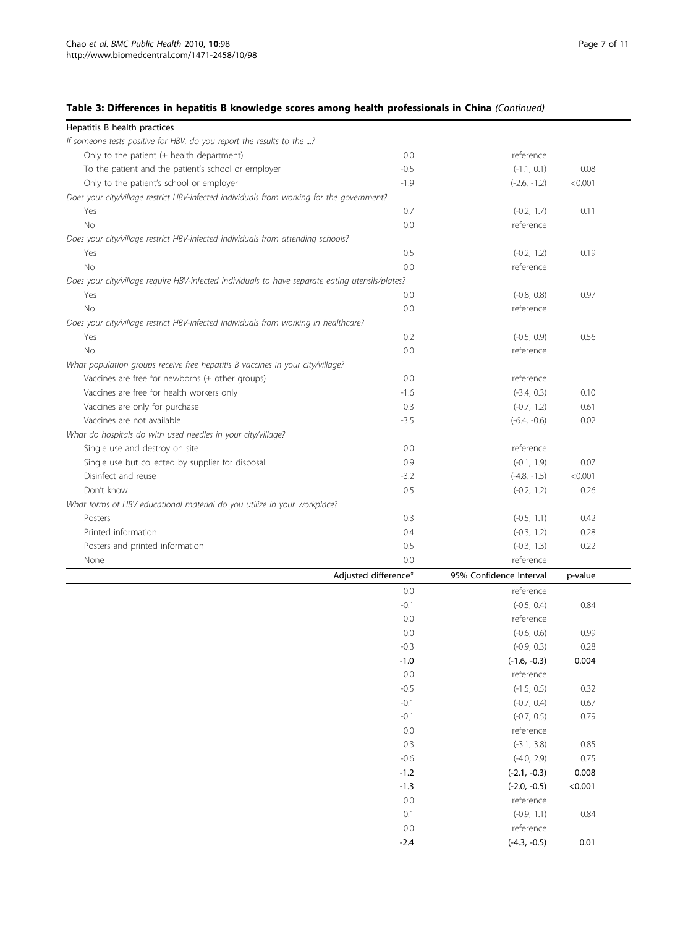# Table 3: Differences in hepatitis B knowledge scores among health professionals in China (Continued)

| Hepatitis B health practices                                                                     |                      |                                |              |
|--------------------------------------------------------------------------------------------------|----------------------|--------------------------------|--------------|
| If someone tests positive for HBV, do you report the results to the ?                            |                      |                                |              |
| Only to the patient $(\pm$ health department)                                                    | 0.0                  | reference                      |              |
| To the patient and the patient's school or employer                                              | $-0.5$               | $(-1.1, 0.1)$                  | 0.08         |
| Only to the patient's school or employer                                                         | $-1.9$               | $(-2.6, -1.2)$                 | < 0.001      |
| Does your city/village restrict HBV-infected individuals from working for the government?        |                      |                                |              |
| Yes                                                                                              | 0.7                  | $(-0.2, 1.7)$                  | 0.11         |
| No                                                                                               | 0.0                  | reference                      |              |
| Does your city/village restrict HBV-infected individuals from attending schools?                 |                      |                                |              |
| Yes                                                                                              | 0.5                  | $(-0.2, 1.2)$                  | 0.19         |
| No                                                                                               | $0.0\,$              | reference                      |              |
| Does your city/village require HBV-infected individuals to have separate eating utensils/plates? |                      |                                |              |
| Yes                                                                                              | 0.0                  | $(-0.8, 0.8)$                  | 0.97         |
| No                                                                                               | 0.0                  | reference                      |              |
| Does your city/village restrict HBV-infected individuals from working in healthcare?             |                      |                                |              |
| Yes                                                                                              | 0.2                  | $(-0.5, 0.9)$                  | 0.56         |
| No                                                                                               | 0.0                  | reference                      |              |
| What population groups receive free hepatitis B vaccines in your city/village?                   |                      |                                |              |
| Vaccines are free for newborns (± other groups)                                                  | 0.0                  | reference                      |              |
| Vaccines are free for health workers only                                                        | $-1.6$               | $(-3.4, 0.3)$                  | 0.10         |
| Vaccines are only for purchase                                                                   | 0.3                  | $(-0.7, 1.2)$                  | 0.61         |
| Vaccines are not available                                                                       | $-3.5$               | $(-6.4, -0.6)$                 | 0.02         |
| What do hospitals do with used needles in your city/village?                                     |                      |                                |              |
| Single use and destroy on site                                                                   | 0.0                  | reference                      |              |
| Single use but collected by supplier for disposal                                                | 0.9                  | $(-0.1, 1.9)$                  | 0.07         |
| Disinfect and reuse                                                                              | $-3.2$               | $(-4.8, -1.5)$                 | < 0.001      |
| Don't know                                                                                       | 0.5                  | $(-0.2, 1.2)$                  | 0.26         |
| What forms of HBV educational material do you utilize in your workplace?                         |                      |                                |              |
| Posters                                                                                          | 0.3                  | $(-0.5, 1.1)$                  | 0.42         |
| Printed information                                                                              | 0.4                  | $(-0.3, 1.2)$                  | 0.28         |
| Posters and printed information                                                                  | 0.5                  | $(-0.3, 1.3)$                  | 0.22         |
| None                                                                                             | 0.0                  | reference                      |              |
|                                                                                                  | Adjusted difference* | 95% Confidence Interval        | p-value      |
|                                                                                                  | 0.0                  | reference                      |              |
|                                                                                                  | $-0.1$               | $(-0.5, 0.4)$                  | 0.84         |
|                                                                                                  | 0.0                  | reference                      |              |
|                                                                                                  |                      |                                |              |
|                                                                                                  | 0.0<br>$-0.3$        | $(-0.6, 0.6)$<br>$(-0.9, 0.3)$ | 0.99<br>0.28 |
|                                                                                                  |                      |                                | 0.004        |
|                                                                                                  | $-1.0$<br>0.0        | $(-1.6, -0.3)$                 |              |
|                                                                                                  | $-0.5$               | reference                      |              |
|                                                                                                  |                      | $(-1.5, 0.5)$                  | 0.32         |
|                                                                                                  | $-0.1$               | $(-0.7, 0.4)$                  | 0.67         |
|                                                                                                  | $-0.1$               | $(-0.7, 0.5)$                  | 0.79         |
|                                                                                                  | 0.0                  | reference                      |              |
|                                                                                                  | 0.3                  | $(-3.1, 3.8)$                  | 0.85         |
|                                                                                                  | $-0.6$               | $(-4.0, 2.9)$                  | 0.75         |
|                                                                                                  | $-1.2$               | $(-2.1, -0.3)$                 | 0.008        |
|                                                                                                  | $-1.3$               | $(-2.0, -0.5)$                 | < 0.001      |
|                                                                                                  | 0.0                  | reference                      |              |
|                                                                                                  | 0.1                  | $(-0.9, 1.1)$                  | 0.84         |
|                                                                                                  | 0.0                  | reference                      |              |
|                                                                                                  | $-2.4$               | $(-4.3, -0.5)$                 | 0.01         |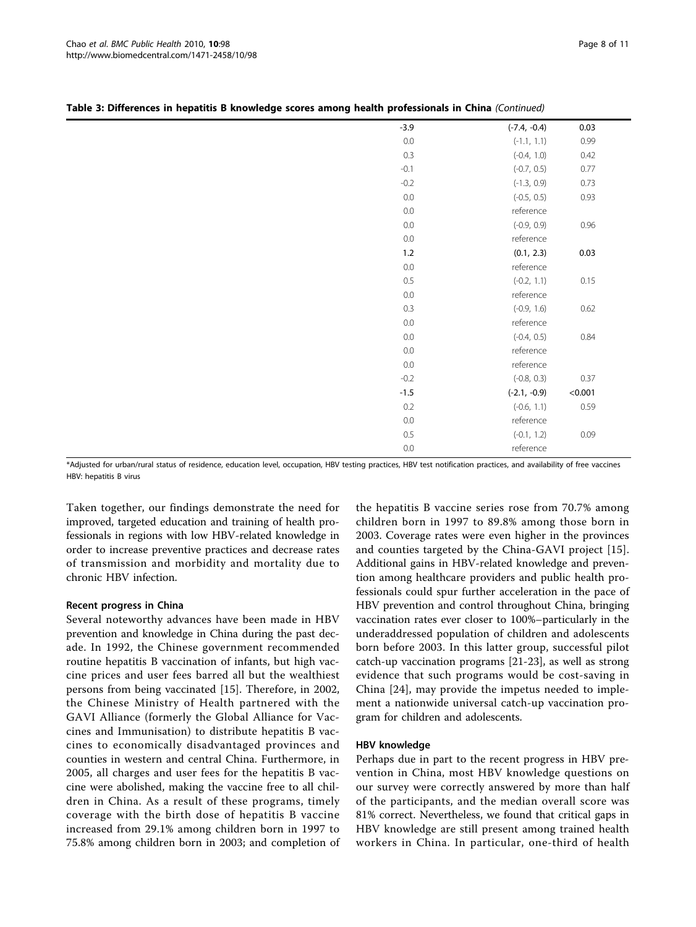| $-3.9$  | $(-7.4, -0.4)$ | 0.03    |
|---------|----------------|---------|
| $0.0\,$ | $(-1.1, 1.1)$  | 0.99    |
| 0.3     | $(-0.4, 1.0)$  | 0.42    |
| $-0.1$  | $(-0.7, 0.5)$  | 0.77    |
| $-0.2$  | $(-1.3, 0.9)$  | 0.73    |
| $0.0\,$ | $(-0.5, 0.5)$  | 0.93    |
| 0.0     | reference      |         |
| $0.0\,$ | $(-0.9, 0.9)$  | 0.96    |
| $0.0\,$ | reference      |         |
| 1.2     | (0.1, 2.3)     | 0.03    |
| $0.0\,$ | reference      |         |
| $0.5\,$ | $(-0.2, 1.1)$  | 0.15    |
| $0.0\,$ | reference      |         |
| 0.3     | $(-0.9, 1.6)$  | 0.62    |
| 0.0     | reference      |         |
| $0.0\,$ | $(-0.4, 0.5)$  | 0.84    |
| $0.0\,$ | reference      |         |
| $0.0\,$ | reference      |         |
| $-0.2$  | $(-0.8, 0.3)$  | 0.37    |
| $-1.5$  | $(-2.1, -0.9)$ | < 0.001 |
| 0.2     | $(-0.6, 1.1)$  | 0.59    |
| $0.0\,$ | reference      |         |
| $0.5\,$ | $(-0.1, 1.2)$  | 0.09    |
| $0.0\,$ | reference      |         |

Table 3: Differences in hepatitis B knowledge scores among health professionals in China (Continued)

\*Adjusted for urban/rural status of residence, education level, occupation, HBV testing practices, HBV test notification practices, and availability of free vaccines HBV: hepatitis B virus

Taken together, our findings demonstrate the need for improved, targeted education and training of health professionals in regions with low HBV-related knowledge in order to increase preventive practices and decrease rates of transmission and morbidity and mortality due to chronic HBV infection.

## Recent progress in China

Several noteworthy advances have been made in HBV prevention and knowledge in China during the past decade. In 1992, the Chinese government recommended routine hepatitis B vaccination of infants, but high vaccine prices and user fees barred all but the wealthiest persons from being vaccinated [[15](#page-10-0)]. Therefore, in 2002, the Chinese Ministry of Health partnered with the GAVI Alliance (formerly the Global Alliance for Vaccines and Immunisation) to distribute hepatitis B vaccines to economically disadvantaged provinces and counties in western and central China. Furthermore, in 2005, all charges and user fees for the hepatitis B vaccine were abolished, making the vaccine free to all children in China. As a result of these programs, timely coverage with the birth dose of hepatitis B vaccine increased from 29.1% among children born in 1997 to 75.8% among children born in 2003; and completion of the hepatitis B vaccine series rose from 70.7% among children born in 1997 to 89.8% among those born in 2003. Coverage rates were even higher in the provinces and counties targeted by the China-GAVI project [[15](#page-10-0)]. Additional gains in HBV-related knowledge and prevention among healthcare providers and public health professionals could spur further acceleration in the pace of HBV prevention and control throughout China, bringing vaccination rates ever closer to 100%–particularly in the underaddressed population of children and adolescents born before 2003. In this latter group, successful pilot catch-up vaccination programs [\[21](#page-10-0)-[23\]](#page-10-0), as well as strong evidence that such programs would be cost-saving in China [[24\]](#page-10-0), may provide the impetus needed to implement a nationwide universal catch-up vaccination program for children and adolescents.

## HBV knowledge

Perhaps due in part to the recent progress in HBV prevention in China, most HBV knowledge questions on our survey were correctly answered by more than half of the participants, and the median overall score was 81% correct. Nevertheless, we found that critical gaps in HBV knowledge are still present among trained health workers in China. In particular, one-third of health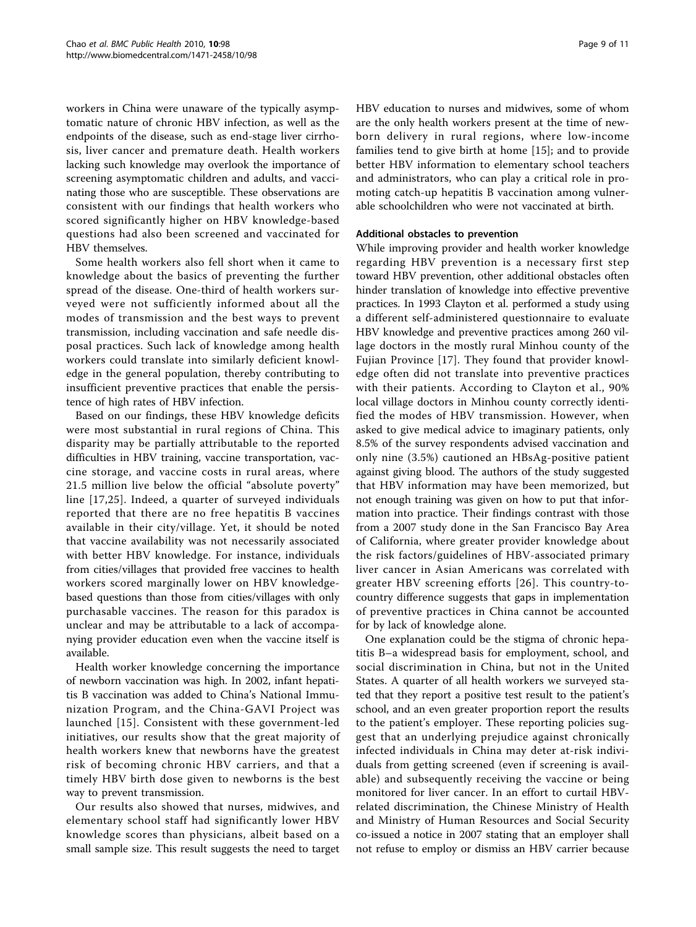workers in China were unaware of the typically asymptomatic nature of chronic HBV infection, as well as the endpoints of the disease, such as end-stage liver cirrhosis, liver cancer and premature death. Health workers lacking such knowledge may overlook the importance of screening asymptomatic children and adults, and vaccinating those who are susceptible. These observations are consistent with our findings that health workers who scored significantly higher on HBV knowledge-based questions had also been screened and vaccinated for HBV themselves.

Some health workers also fell short when it came to knowledge about the basics of preventing the further spread of the disease. One-third of health workers surveyed were not sufficiently informed about all the modes of transmission and the best ways to prevent transmission, including vaccination and safe needle disposal practices. Such lack of knowledge among health workers could translate into similarly deficient knowledge in the general population, thereby contributing to insufficient preventive practices that enable the persistence of high rates of HBV infection.

Based on our findings, these HBV knowledge deficits were most substantial in rural regions of China. This disparity may be partially attributable to the reported difficulties in HBV training, vaccine transportation, vaccine storage, and vaccine costs in rural areas, where 21.5 million live below the official "absolute poverty" line [[17,25\]](#page-10-0). Indeed, a quarter of surveyed individuals reported that there are no free hepatitis B vaccines available in their city/village. Yet, it should be noted that vaccine availability was not necessarily associated with better HBV knowledge. For instance, individuals from cities/villages that provided free vaccines to health workers scored marginally lower on HBV knowledgebased questions than those from cities/villages with only purchasable vaccines. The reason for this paradox is unclear and may be attributable to a lack of accompanying provider education even when the vaccine itself is available.

Health worker knowledge concerning the importance of newborn vaccination was high. In 2002, infant hepatitis B vaccination was added to China's National Immunization Program, and the China-GAVI Project was launched [[15\]](#page-10-0). Consistent with these government-led initiatives, our results show that the great majority of health workers knew that newborns have the greatest risk of becoming chronic HBV carriers, and that a timely HBV birth dose given to newborns is the best way to prevent transmission.

Our results also showed that nurses, midwives, and elementary school staff had significantly lower HBV knowledge scores than physicians, albeit based on a small sample size. This result suggests the need to target HBV education to nurses and midwives, some of whom are the only health workers present at the time of newborn delivery in rural regions, where low-income families tend to give birth at home [\[15](#page-10-0)]; and to provide better HBV information to elementary school teachers and administrators, who can play a critical role in promoting catch-up hepatitis B vaccination among vulnerable schoolchildren who were not vaccinated at birth.

# Additional obstacles to prevention

While improving provider and health worker knowledge regarding HBV prevention is a necessary first step toward HBV prevention, other additional obstacles often hinder translation of knowledge into effective preventive practices. In 1993 Clayton et al. performed a study using a different self-administered questionnaire to evaluate HBV knowledge and preventive practices among 260 village doctors in the mostly rural Minhou county of the Fujian Province [[17](#page-10-0)]. They found that provider knowledge often did not translate into preventive practices with their patients. According to Clayton et al., 90% local village doctors in Minhou county correctly identified the modes of HBV transmission. However, when asked to give medical advice to imaginary patients, only 8.5% of the survey respondents advised vaccination and only nine (3.5%) cautioned an HBsAg-positive patient against giving blood. The authors of the study suggested that HBV information may have been memorized, but not enough training was given on how to put that information into practice. Their findings contrast with those from a 2007 study done in the San Francisco Bay Area of California, where greater provider knowledge about the risk factors/guidelines of HBV-associated primary liver cancer in Asian Americans was correlated with greater HBV screening efforts [[26](#page-10-0)]. This country-tocountry difference suggests that gaps in implementation of preventive practices in China cannot be accounted for by lack of knowledge alone.

One explanation could be the stigma of chronic hepatitis B–a widespread basis for employment, school, and social discrimination in China, but not in the United States. A quarter of all health workers we surveyed stated that they report a positive test result to the patient's school, and an even greater proportion report the results to the patient's employer. These reporting policies suggest that an underlying prejudice against chronically infected individuals in China may deter at-risk individuals from getting screened (even if screening is available) and subsequently receiving the vaccine or being monitored for liver cancer. In an effort to curtail HBVrelated discrimination, the Chinese Ministry of Health and Ministry of Human Resources and Social Security co-issued a notice in 2007 stating that an employer shall not refuse to employ or dismiss an HBV carrier because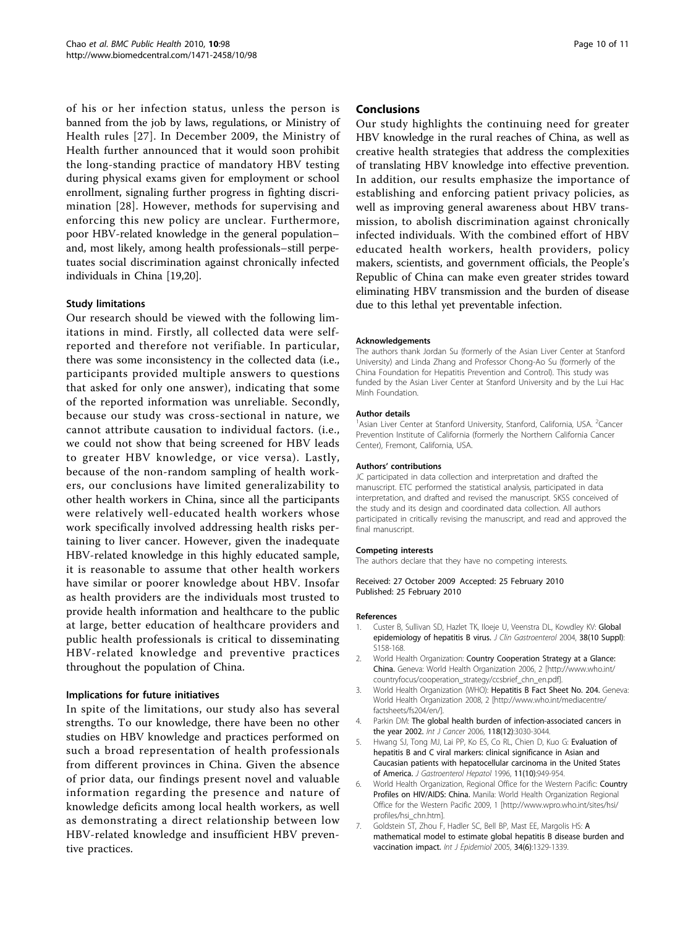<span id="page-9-0"></span>of his or her infection status, unless the person is banned from the job by laws, regulations, or Ministry of Health rules [[27\]](#page-10-0). In December 2009, the Ministry of Health further announced that it would soon prohibit the long-standing practice of mandatory HBV testing during physical exams given for employment or school enrollment, signaling further progress in fighting discrimination [[28\]](#page-10-0). However, methods for supervising and enforcing this new policy are unclear. Furthermore, poor HBV-related knowledge in the general population– and, most likely, among health professionals–still perpetuates social discrimination against chronically infected individuals in China [[19,20](#page-10-0)].

## Study limitations

Our research should be viewed with the following limitations in mind. Firstly, all collected data were selfreported and therefore not verifiable. In particular, there was some inconsistency in the collected data (i.e., participants provided multiple answers to questions that asked for only one answer), indicating that some of the reported information was unreliable. Secondly, because our study was cross-sectional in nature, we cannot attribute causation to individual factors. (i.e., we could not show that being screened for HBV leads to greater HBV knowledge, or vice versa). Lastly, because of the non-random sampling of health workers, our conclusions have limited generalizability to other health workers in China, since all the participants were relatively well-educated health workers whose work specifically involved addressing health risks pertaining to liver cancer. However, given the inadequate HBV-related knowledge in this highly educated sample, it is reasonable to assume that other health workers have similar or poorer knowledge about HBV. Insofar as health providers are the individuals most trusted to provide health information and healthcare to the public at large, better education of healthcare providers and public health professionals is critical to disseminating HBV-related knowledge and preventive practices throughout the population of China.

## Implications for future initiatives

In spite of the limitations, our study also has several strengths. To our knowledge, there have been no other studies on HBV knowledge and practices performed on such a broad representation of health professionals from different provinces in China. Given the absence of prior data, our findings present novel and valuable information regarding the presence and nature of knowledge deficits among local health workers, as well as demonstrating a direct relationship between low HBV-related knowledge and insufficient HBV preventive practices.

## Conclusions

Our study highlights the continuing need for greater HBV knowledge in the rural reaches of China, as well as creative health strategies that address the complexities of translating HBV knowledge into effective prevention. In addition, our results emphasize the importance of establishing and enforcing patient privacy policies, as well as improving general awareness about HBV transmission, to abolish discrimination against chronically infected individuals. With the combined effort of HBV educated health workers, health providers, policy makers, scientists, and government officials, the People's Republic of China can make even greater strides toward eliminating HBV transmission and the burden of disease due to this lethal yet preventable infection.

#### Acknowledgements

The authors thank Jordan Su (formerly of the Asian Liver Center at Stanford University) and Linda Zhang and Professor Chong-Ao Su (formerly of the China Foundation for Hepatitis Prevention and Control). This study was funded by the Asian Liver Center at Stanford University and by the Lui Hac Minh Foundation.

#### Author details

<sup>1</sup> Asian Liver Center at Stanford University, Stanford, California, USA. <sup>2</sup> Cancer Prevention Institute of California (formerly the Northern California Cancer Center), Fremont, California, USA.

#### Authors' contributions

JC participated in data collection and interpretation and drafted the manuscript. ETC performed the statistical analysis, participated in data interpretation, and drafted and revised the manuscript. SKSS conceived of the study and its design and coordinated data collection. All authors participated in critically revising the manuscript, and read and approved the final manuscript.

## Competing interests

The authors declare that they have no competing interests.

### Received: 27 October 2009 Accepted: 25 February 2010 Published: 25 February 2010

#### References

- 1. Custer B, Sullivan SD, Hazlet TK, Iloeje U, Veenstra DL, Kowdley KV: [Global](http://www.ncbi.nlm.nih.gov/pubmed/15602165?dopt=Abstract) [epidemiology of hepatitis B virus.](http://www.ncbi.nlm.nih.gov/pubmed/15602165?dopt=Abstract) J Clin Gastroenterol 2004, 38(10 Suppl): S158-168
- 2. World Health Organization: Country Cooperation Strategy at a Glance: China. Geneva: World Health Organization 2006, 2 [[http://www.who.int/](http://www.who.int/countryfocus/cooperation_strategy/ccsbrief_chn_en.pdf) [countryfocus/cooperation\\_strategy/ccsbrief\\_chn\\_en.pdf\]](http://www.who.int/countryfocus/cooperation_strategy/ccsbrief_chn_en.pdf).
- 3. World Health Organization (WHO): Hepatitis B Fact Sheet No. 204. Geneva: World Health Organization 2008, 2 [\[http://www.who.int/mediacentre/](http://www.who.int/mediacentre/factsheets/fs204/en/) [factsheets/fs204/en/\]](http://www.who.int/mediacentre/factsheets/fs204/en/).
- 4. Parkin DM: [The global health burden of infection-associated cancers in](http://www.ncbi.nlm.nih.gov/pubmed/16404738?dopt=Abstract) [the year 2002.](http://www.ncbi.nlm.nih.gov/pubmed/16404738?dopt=Abstract) Int J Cancer 2006, 118(12):3030-3044.
- 5. Hwang SJ, Tong MJ, Lai PP, Ko ES, Co RL, Chien D, Kuo G: [Evaluation of](http://www.ncbi.nlm.nih.gov/pubmed/8912133?dopt=Abstract) [hepatitis B and C viral markers: clinical significance in Asian and](http://www.ncbi.nlm.nih.gov/pubmed/8912133?dopt=Abstract) [Caucasian patients with hepatocellular carcinoma in the United States](http://www.ncbi.nlm.nih.gov/pubmed/8912133?dopt=Abstract) [of America.](http://www.ncbi.nlm.nih.gov/pubmed/8912133?dopt=Abstract) J Gastroenterol Hepatol 1996, 11(10):949-954.
- World Health Organization, Regional Office for the Western Pacific: Country Profiles on HIV/AIDS: China. Manila: World Health Organization Regional Office for the Western Pacific 2009, 1 [[http://www.wpro.who.int/sites/hsi/](http://www.wpro.who.int/sites/hsi/profiles/hsi_chn.htm) [profiles/hsi\\_chn.htm](http://www.wpro.who.int/sites/hsi/profiles/hsi_chn.htm)].
- 7. Goldstein ST, Zhou F, Hadler SC, Bell BP, Mast EE, Margolis HS: [A](http://www.ncbi.nlm.nih.gov/pubmed/16249217?dopt=Abstract) [mathematical model to estimate global hepatitis B disease burden and](http://www.ncbi.nlm.nih.gov/pubmed/16249217?dopt=Abstract) [vaccination impact.](http://www.ncbi.nlm.nih.gov/pubmed/16249217?dopt=Abstract) Int J Epidemiol 2005, 34(6):1329-1339.